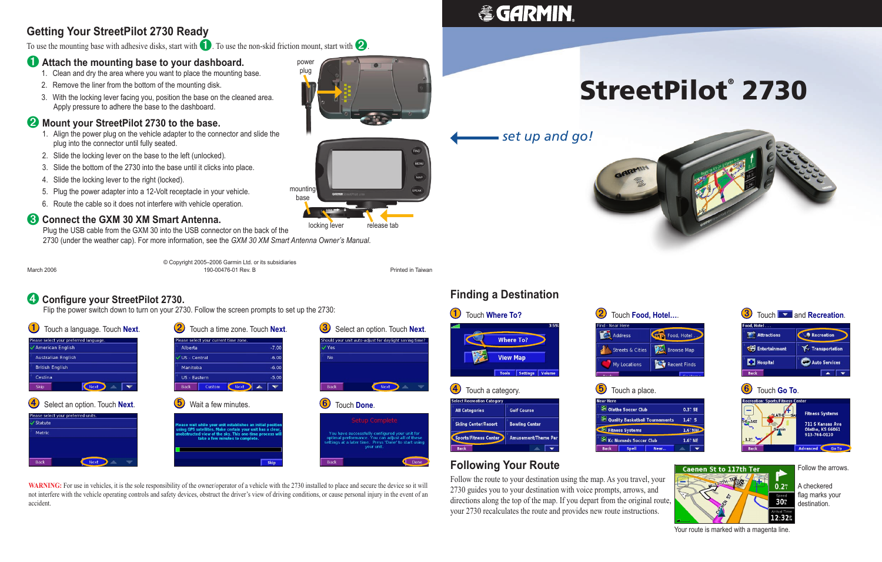#### ➍ **Configure your StreetPilot 2730.**

Flip the power switch down to turn on your 2730. Follow the screen prompts to set up the 2730:

| Touch a language. Touch Next.                              | Touch a time zone. Touch Next.                                                                                                                           | Select an option. Touch Next.<br>3                                                                                                                          |                                     |
|------------------------------------------------------------|----------------------------------------------------------------------------------------------------------------------------------------------------------|-------------------------------------------------------------------------------------------------------------------------------------------------------------|-------------------------------------|
| Please select your preferred language.<br>American English | Please select your current time zone.<br>$-7.00$<br>Alberta                                                                                              | Should your unit auto-adjust for daylight saving time?<br>V Yes                                                                                             | Wher                                |
| <b>Australian English</b>                                  | US - Central<br>$-6.00$                                                                                                                                  | <b>No</b>                                                                                                                                                   | <b>View</b>                         |
| <b>British English</b>                                     | $-6.00$<br>Manitoba                                                                                                                                      |                                                                                                                                                             | <b>Tools</b>                        |
| Cestina                                                    | $-5.00$<br>US - Eastern                                                                                                                                  |                                                                                                                                                             |                                     |
| Next<br><b>Skip</b>                                        | Next<br><b>Custom</b><br><b>Back</b>                                                                                                                     | Back<br><b>Next</b>                                                                                                                                         | $\left( 4\right)$<br>Touch a catego |
| $\left( 4\right)$<br>Select an option. Touch Next.         | $\left[ 5\right]$<br>Wait a few minutes.                                                                                                                 | Touch Done.                                                                                                                                                 | <b>Select Recreation Category</b>   |
| Please select your preferred units.                        |                                                                                                                                                          |                                                                                                                                                             | <b>All Categories</b><br>G          |
| √ Statute                                                  | Please wait while your unit establishes an initial position                                                                                              | <b>Setup Complete</b>                                                                                                                                       | <b>Skiing Center/Resort</b><br>в    |
| Metric                                                     | using GPS satellites. Make certain your unit has a clear,<br>unobstructed view of the sky. This one-time process will<br>take a few minutes to complete. | You have successfully configured your unit for<br>optimal performance. You can adjust all of these<br>settings at a later time. Press 'Done' to start using | Sports/Fitness Center<br>N A        |
|                                                            |                                                                                                                                                          | your unit.                                                                                                                                                  | <b>Back</b>                         |
| Back<br><b>Next</b>                                        | <b>Skip</b>                                                                                                                                              | Back<br>Done                                                                                                                                                | <b>Following Yo</b>                 |





#### **Following Your Route**

Follow the route to your destination using the map. As you travel, your 2730 guides you to your destination with voice prompts, arrows, and directions along the top of the map. If you depart from the original route, your 2730 recalculates the route and provides new route instructions.

# StreetPilot® 2730





**WARNING:** For use in vehicles, it is the sole responsibility of the owner/operator of a vehicle with the 2730 installed to place and secure the device so it will not interfere with the vehicle operating controls and safety devices, obstruct the driver's view of driving conditions, or cause personal injury in the event of an accident.

## **& GARMIN**

#### **Getting Your StreetPilot 2730 Ready**

To use the mounting base with adhesive disks, start with **1**. To use the non-skid friction mount, start with **2** 

#### ➊**Attach the mounting base to your dashboard.**

- 1. Clean and dry the area where you want to place the mounting base.
- 2. Remove the liner from the bottom of the mounting disk.
- 3. With the locking lever facing you, position the base on the cleaned area. Apply pressure to adhere the base to the dashboard.

#### ➋ **Mount your StreetPilot 2730 to the base.**

- 1. Align the power plug on the vehicle adapter to the connector and slide the plug into the connector until fully seated.
- 2. Slide the locking lever on the base to the left (unlocked).
- 3. Slide the bottom of the 2730 into the base until it clicks into place.
- 4. Slide the locking lever to the right (locked).
- 5. Plug the power adapter into a 12-Volt receptacle in your vehicle.
- 6. Route the cable so it does not interfere with vehicle operation.

#### ➌ **Connect the GXM 30 XM Smart Antenna.**

 Plug the USB cable from the GXM 30 into the USB connector on the back of the 2730 (under the weather cap). For more information, see the *GXM 30 XM Smart Antenna Owner's Manual*.

© Copyright 2005–2006 Garmin Ltd. or its subsidiaries March 2006 190-00476-01 Rev. B Printed in Taiwan

Your route is marked with a magenta line.

|                                         | $\left( 3\right)$                                             | Touch <b>W</b> and <b>Recreation</b> .  |
|-----------------------------------------|---------------------------------------------------------------|-----------------------------------------|
| Food, Hotel                             | Food, Hotel<br>Attractions                                    | Recreation                              |
| <b>Browse Map</b>                       | <b>Entertainment</b>                                          | <b>Transportation</b>                   |
| <b>Recent Finds</b>                     | <b>B</b> Hospital                                             | <b>Auto Services</b>                    |
| 1184                                    | <b>Back</b>                                                   |                                         |
|                                         | Touch Go To.<br>б<br><b>Recreation: Sports/Fitness Center</b> |                                         |
| 0.3" SE                                 | <b>QLATHE</b>                                                 | <b>Fitness Systems</b>                  |
| $1.4^\circ$ S<br>nts                    | <b>HE CAKE</b>                                                | <b>711 S Kansas Ave</b>                 |
| $1.6$ NW                                | Gaymin                                                        | <b>Olathe, KS 66061</b><br>913-764-0110 |
| 1.6" NE                                 | $1.2$ .                                                       |                                         |
|                                         | <b>Back</b>                                                   | <b>Advanced</b><br><b>Go To</b>         |
| <b>Caenen St to 117th Ter</b><br>$-120$ |                                                               | Follow the arrows.                      |

30<sup>m</sup>  $12:32<sub>n</sub>$ 

A checkered flag marks your destination.